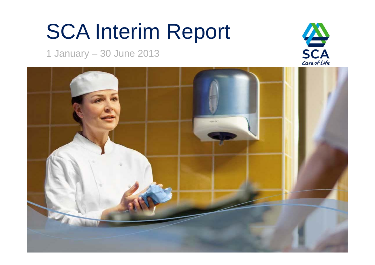# SCA Interim Report

1 January – 30 June 2013



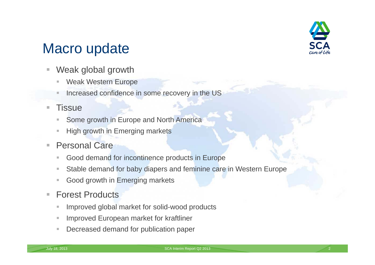

### Macro update

- $\mathcal{L}_{\mathcal{A}}$  Weak global growth
	- I. Weak Western Europe
	- ш Increased confidence in some recovery in the US

#### $\overline{\phantom{a}}$ **Tissue**

- П Some growth in Europe and North America
- $\mathbb{R}^n$ High growth in Emerging markets
- $\overline{\mathbb{R}}$ ■ Personal Care
	- $\overline{\phantom{a}}$ Good demand for incontinence products in Europe
	- $\mathbb{R}^n$ Stable demand for baby diapers and feminine care in Western Europe
	- $\mathcal{L}$ Good growth in Emerging markets
- $\overline{\phantom{a}}$ ■ Forest Products
	- $\overline{\phantom{a}}$ Improved global market for solid-wood products
	- $\overline{\phantom{a}}$ Improved European market for kraftliner
	- $\bar{a}$ Decreased demand for publication paper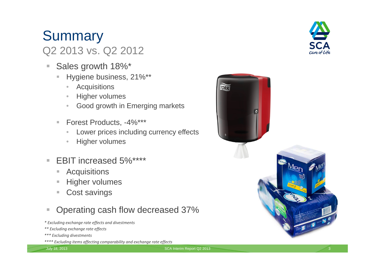#### **Acquisitions**  $\mathcal{L}_{\mathcal{A}}$ Higher volumes

×.

 $\overline{\phantom{a}}$ 

 $\overline{\phantom{a}}$ 

 $\mathbb{R}^d$ 

•

**Summary** 

•

 $\bullet$ 

•

 $\mathcal{L}_{\mathcal{A}}$ Cost savings

#### $\mathcal{L}_{\mathcal{A}}$ Operating cash flow decreased 37%

Good growth in Emerging markets

Lower prices including currency effects

*\* Excluding exchange rate effects and divestments*

Sales growth 18%\*

Q2 2013 vs. Q2 2012

**Acquisitions** 

• Higher volumes

■ Forest Products, -4%\*\*\*

Higher volumes

EBIT increased 5%\*\*\*\*

Hygiene business, 21%\*\*

- *\*\* Excluding exchange rate effects*
- *\*\*\* Excluding divestments*
- *\*\*\*\* Excluding items affecting comparability and exchange rate effects*



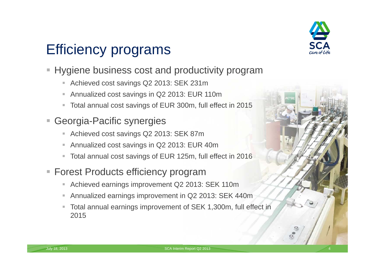

## Efficiency programs

- $\blacksquare$  Hygiene business cost and productivity program
	- $\overline{\phantom{a}}$ Achieved cost savings Q2 2013: SEK 231m
	- I. Annualized cost savings in Q2 2013: EUR 110m
	- $\mathcal{L}_{\mathcal{A}}$ Total annual cost savings of EUR 300m, full effect in 2015
- $\blacksquare$  Georgia-Pacific synergies
	- $\blacksquare$ Achieved cost savings Q2 2013: SEK 87m
	- $\Box$ Annualized cost savings in Q2 2013: EUR 40m
	- u, Total annual cost savings of EUR 125m, full effect in 2016
- **Forest Products efficiency program** 
	- I. Achieved earnings improvement Q2 2013: SEK 110m
	- I. Annualized earnings improvement in Q2 2013: SEK 440m
	- $\overline{\phantom{a}}$  Total annual earnings improvement of SEK 1,300m, full effect in 2015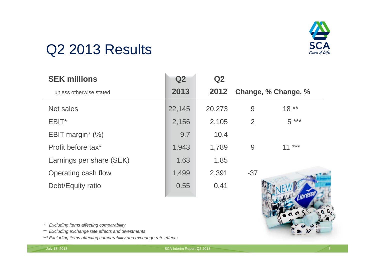

### Q2 2013 Results

| <b>SEK millions</b>      | Q2     | Q2     |       |                     |
|--------------------------|--------|--------|-------|---------------------|
| unless otherwise stated  | 2013   | 2012   |       | Change, % Change, % |
| Net sales                | 22,145 | 20,273 | 9     | $18**$              |
| EBIT*                    | 2,156  | 2,105  | 2     | $5***$              |
| EBIT margin* (%)         | 9.7    | 10.4   |       |                     |
| Profit before tax*       | 1,943  | 1,789  | 9     | ***<br>11           |
| Earnings per share (SEK) | 1.63   | 1.85   |       |                     |
| Operating cash flow      | 1,499  | 2,391  | $-37$ |                     |
| Debt/Equity ratio        | 0.55   | 0.41   |       |                     |

*\* Excluding items affecting comparability*

- *\*\* Excluding exchange rate effects and divestments*
- *\*\*\* Excluding items affecting comparability and exchange rate effects*

July 18, 2013 SCA Interim Report Q2 2013 5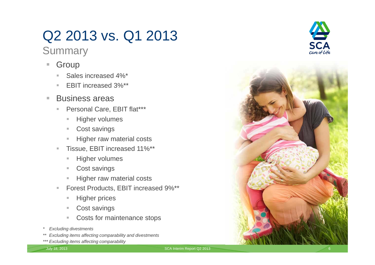## Q2 2013 vs. Q1 2013

### **Summary**

- $\mathcal{L}_{\mathcal{A}}$  Group
	- $\mathbb{R}^n$ Sales increased 4%\*
	- EBIT increased 3%\*\*
- $\overline{\phantom{a}}$  Business areas
	- $\mathbb{R}^2$ Personal Care, EBIT flat\*\*\*
		- $\equiv$ Higher volumes
		- $\mathbb{R}^n$ Cost savings
		- $\blacksquare$ Higher raw material costs
	- $\bar{\phantom{a}}$  Tissue, EBIT increased 11%\*\*
		- $\mathbb{R}^d$ Higher volumes
		- $\mathbb{R}^n$ Cost savings
		- $\mathbb{R}^d$ Higher raw material costs
	- $\mathbb{R}^n$  Forest Products, EBIT increased 9%\*\*
		- $\blacksquare$ Higher prices
		- $\mathbb{R}^n$ Cost savings
		- $\alpha$ Costs for maintenance stops
- *\* Excluding divestments*
- *\*\* Excluding items affecting comparability and divestments*
- *\*\*\* Excluding items affecting comparability*



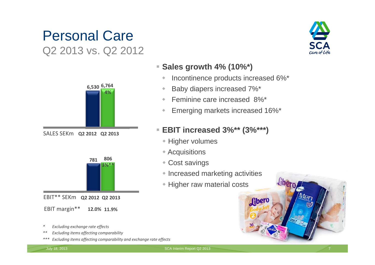### Personal Care Q2 2013 vs. Q2 2012



**Q2 2012 Q2 2013** SALES SEKm



EBIT\*\* SEKm **Q2 2012 Q2 2013**

EBIT margin\*\* **12.0% 11.9%**

- *\* Excluding exchange rate effects*
- *\*\* Excluding items affecting comparability*
- *\*\*\* Excluding items affecting comparability and exchange rate effects*



#### **Sales growth 4% (10%\*)**

- ۰ Incontinence products increased 6%\*
- ۰ Baby diapers increased 7%\*
- $\ddot{\phantom{a}}$ Feminine care increased 8%\*
- ۰ Emerging markets increased 16%\*

#### **EBIT increased 3%\*\* (3%\*\*\*)**

- **+ Higher volumes**
- Acquisitions
- Cost savings
- Increased marketing activities

**fiher** 

• Higher raw material costs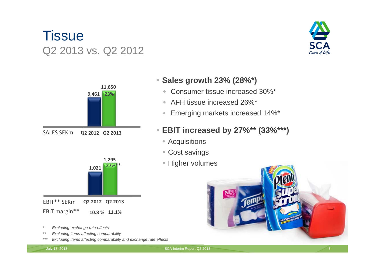### **Tissue** Q2 2013 vs. Q2 2012







- *\* Excluding exchange rate effects*
- *\*\* Excluding items affecting comparability*
- *\*\*\* Excluding items affecting comparability and exchange rate effects*

### **Sales growth 23% (28%\*)**

- Consumer tissue increased 30%\*
- AFH tissue increased 26%\*
- $\Phi$ Emerging markets increased 14%\*

### **EBIT increased by 27%\*\* (33%\*\*\*)**

- Acquisitions
- Cost savings
- Higher volumes



July 18, 2013 SCA Interim Report Q2 2013 8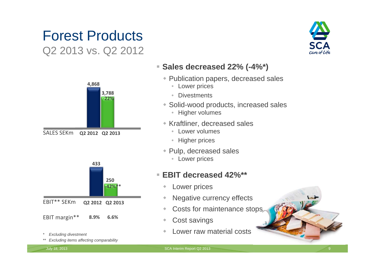### Forest ProductsQ2 2013 vs. Q2 2012



SALES SEKm**Q2 2012 Q2 2013**



*\* Excluding divestment*

*\*\* Excluding items affecting comparability*

care of Life

#### **Sales decreased 22% (-4%\*)**

- Publication papers, decreased sales
	- Lower prices
	- Divestments
- Solid-wood products, increased sales
	- Higher volumes
- Kraftliner, decreased sales
	- Lower volumes
	- Higher prices
- Pulp, decreased sales
	- Lower prices

### **EBIT decreased 42%\*\***

- ۰ Lower prices
- ۰ Negative currency effects
- ò Costs for maintenance stops
- ۵ Cost savings
- ۰ Lower raw material costs

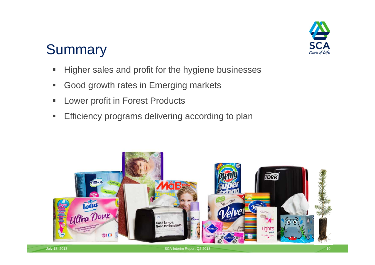

### **Summary**

- $\blacksquare$ Higher sales and profit for the hygiene businesses
- $\blacksquare$ Good growth rates in Emerging markets
- $\blacksquare$ Lower profit in Forest Products
- $\blacksquare$ Efficiency programs delivering according to plan

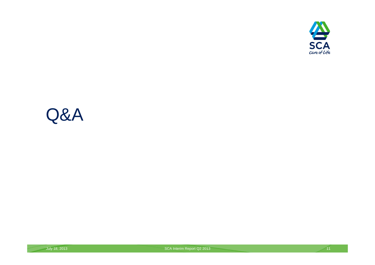

## Q&A